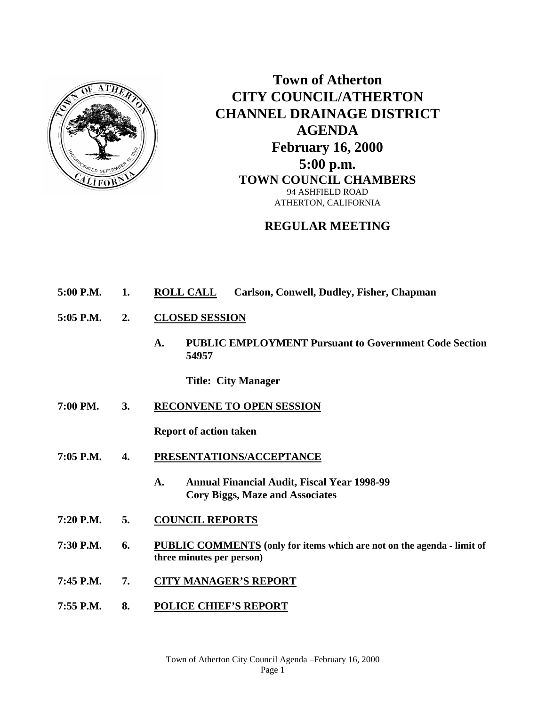

**Town of Atherton CITY COUNCIL/ATHERTON CHANNEL DRAINAGE DISTRICT AGENDA February 16, 2000 5:00 p.m. TOWN COUNCIL CHAMBERS** 94 ASHFIELD ROAD ATHERTON, CALIFORNIA

## **REGULAR MEETING**

- **5:00 P.M. 1. ROLL CALL Carlson, Conwell, Dudley, Fisher, Chapman**
- **5:05 P.M. 2. CLOSED SESSION**
	- **A. PUBLIC EMPLOYMENT Pursuant to Government Code Section 54957**

**Title: City Manager**

**7:00 PM. 3. RECONVENE TO OPEN SESSION**

**Report of action taken**

- **7:05 P.M. 4. PRESENTATIONS/ACCEPTANCE**
	- **A. Annual Financial Audit, Fiscal Year 1998-99 Cory Biggs, Maze and Associates**
- **7:20 P.M. 5. COUNCIL REPORTS**
- **7:30 P.M. 6. PUBLIC COMMENTS (only for items which are not on the agenda - limit of three minutes per person)**
- **7:45 P.M. 7. CITY MANAGER'S REPORT**
- **7:55 P.M. 8. POLICE CHIEF'S REPORT**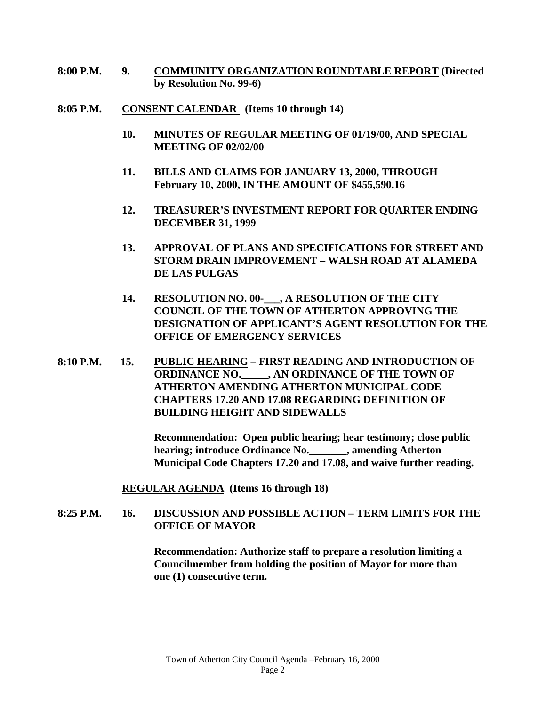- **8:00 P.M. 9. COMMUNITY ORGANIZATION ROUNDTABLE REPORT (Directed by Resolution No. 99-6)**
- **8:05 P.M. CONSENT CALENDAR (Items 10 through 14)**
	- **10. MINUTES OF REGULAR MEETING OF 01/19/00, AND SPECIAL MEETING OF 02/02/00**
	- **11. BILLS AND CLAIMS FOR JANUARY 13, 2000, THROUGH February 10, 2000, IN THE AMOUNT OF \$455,590.16**
	- **12. TREASURER'S INVESTMENT REPORT FOR QUARTER ENDING DECEMBER 31, 1999**
	- **13. APPROVAL OF PLANS AND SPECIFICATIONS FOR STREET AND STORM DRAIN IMPROVEMENT – WALSH ROAD AT ALAMEDA DE LAS PULGAS**
	- **14. RESOLUTION NO. 00-\_\_\_, A RESOLUTION OF THE CITY COUNCIL OF THE TOWN OF ATHERTON APPROVING THE DESIGNATION OF APPLICANT'S AGENT RESOLUTION FOR THE OFFICE OF EMERGENCY SERVICES**
- **8:10 P.M. 15. PUBLIC HEARING – FIRST READING AND INTRODUCTION OF ORDINANCE NO.\_\_\_\_\_, AN ORDINANCE OF THE TOWN OF ATHERTON AMENDING ATHERTON MUNICIPAL CODE CHAPTERS 17.20 AND 17.08 REGARDING DEFINITION OF BUILDING HEIGHT AND SIDEWALLS**

**Recommendation: Open public hearing; hear testimony; close public hearing; introduce Ordinance No.\_\_\_\_\_\_\_, amending Atherton Municipal Code Chapters 17.20 and 17.08, and waive further reading.**

**REGULAR AGENDA (Items 16 through 18)**

## **8:25 P.M. 16. DISCUSSION AND POSSIBLE ACTION – TERM LIMITS FOR THE OFFICE OF MAYOR**

**Recommendation: Authorize staff to prepare a resolution limiting a Councilmember from holding the position of Mayor for more than one (1) consecutive term.**